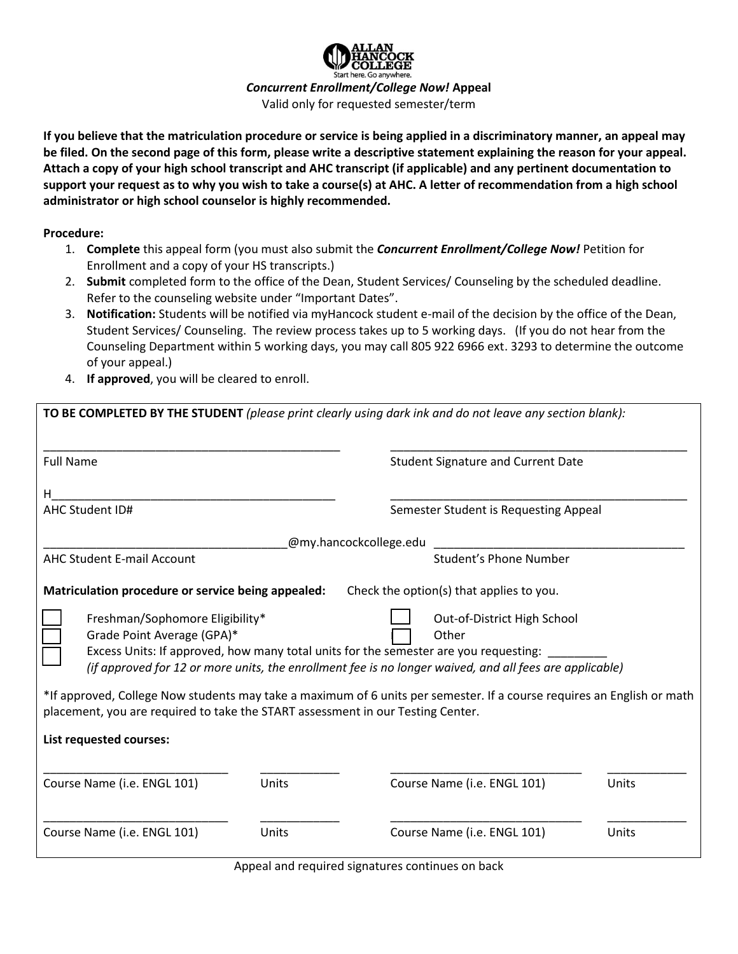

*Concurrent Enrollment/College Now!* **Appeal**

Valid only for requested semester/term

**If you believe that the matriculation procedure or service is being applied in a discriminatory manner, an appeal may be filed. On the second page of this form, please write a descriptive statement explaining the reason for your appeal. Attach a copy of your high school transcript and AHC transcript (if applicable) and any pertinent documentation to support your request as to why you wish to take a course(s) at AHC. A letter of recommendation from a high school administrator or high school counselor is highly recommended.** 

**Procedure:** 

- 1. **Complete** this appeal form (you must also submit the *Concurrent Enrollment/College Now!* Petition for Enrollment and a copy of your HS transcripts.)
- 2. **Submit** completed form to the office of the Dean, Student Services/ Counseling by the scheduled deadline. Refer to the counseling website under "Important Dates".
- 3. **Notification:** Students will be notified via myHancock student e-mail of the decision by the office of the Dean, Student Services/ Counseling. The review process takes up to 5 working days. (If you do not hear from the Counseling Department within 5 working days, you may call 805 922 6966 ext. 3293 to determine the outcome of your appeal.)
- 4. **If approved**, you will be cleared to enroll.

| <b>Full Name</b>                                                                                                                                                                                                                                                 |       |                        | <b>Student Signature and Current Date</b> |       |  |
|------------------------------------------------------------------------------------------------------------------------------------------------------------------------------------------------------------------------------------------------------------------|-------|------------------------|-------------------------------------------|-------|--|
| н                                                                                                                                                                                                                                                                |       |                        |                                           |       |  |
| <b>AHC Student ID#</b>                                                                                                                                                                                                                                           |       |                        | Semester Student is Requesting Appeal     |       |  |
|                                                                                                                                                                                                                                                                  |       | @my.hancockcollege.edu |                                           |       |  |
| <b>AHC Student E-mail Account</b>                                                                                                                                                                                                                                |       |                        | Student's Phone Number                    |       |  |
| Matriculation procedure or service being appealed:                                                                                                                                                                                                               |       |                        | Check the option(s) that applies to you.  |       |  |
| Freshman/Sophomore Eligibility*<br>Grade Point Average (GPA)*<br>Excess Units: If approved, how many total units for the semester are you requesting:<br>(if approved for 12 or more units, the enrollment fee is no longer waived, and all fees are applicable) |       |                        | Out-of-District High School<br>Other      |       |  |
| *If approved, College Now students may take a maximum of 6 units per semester. If a course requires an English or math<br>placement, you are required to take the START assessment in our Testing Center.                                                        |       |                        |                                           |       |  |
| List requested courses:                                                                                                                                                                                                                                          |       |                        |                                           |       |  |
| Course Name (i.e. ENGL 101)                                                                                                                                                                                                                                      | Units |                        | Course Name (i.e. ENGL 101)               | Units |  |
| Course Name (i.e. ENGL 101)                                                                                                                                                                                                                                      | Units |                        | Course Name (i.e. ENGL 101)               | Units |  |

Appeal and required signatures continues on back